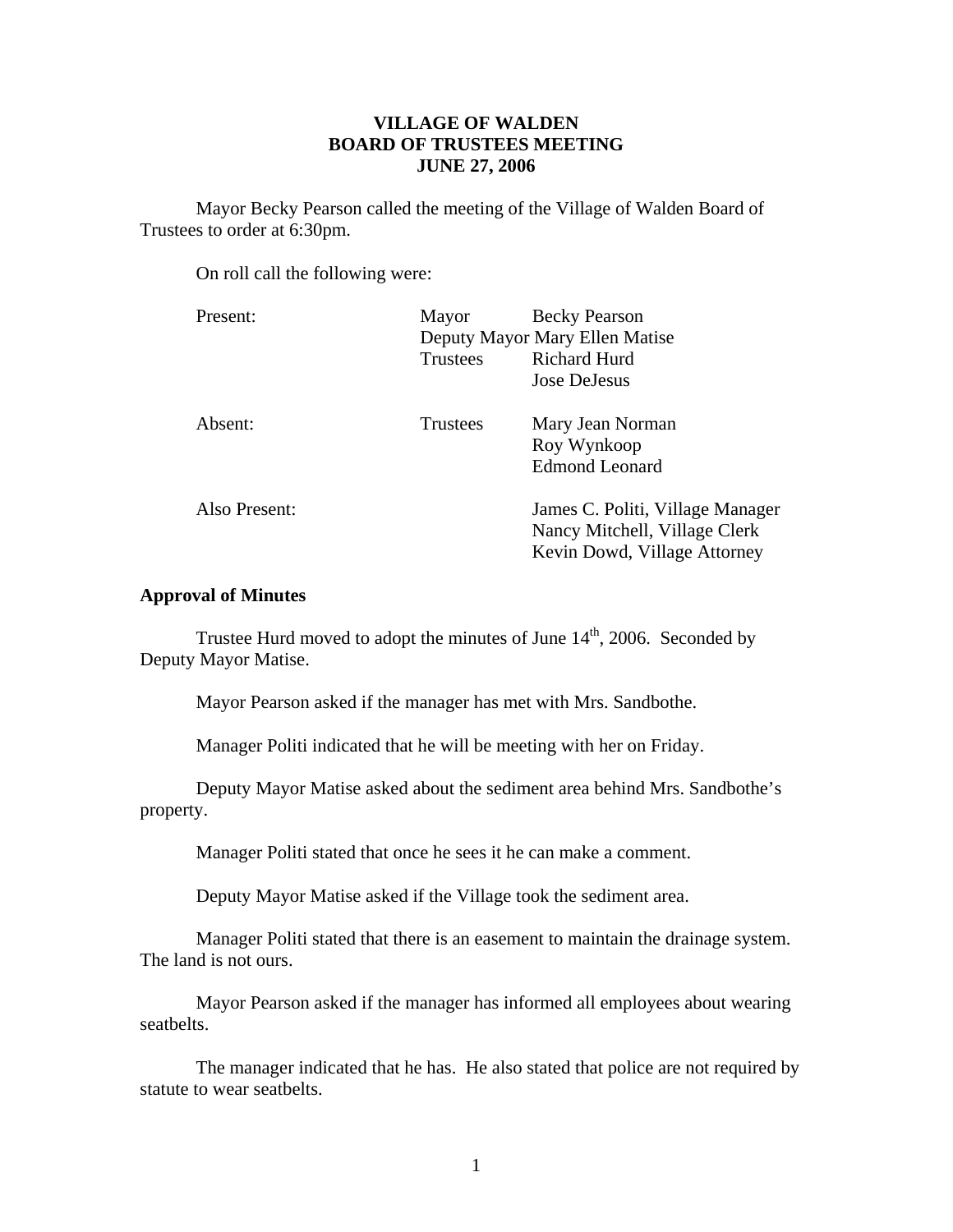# **VILLAGE OF WALDEN BOARD OF TRUSTEES MEETING JUNE 27, 2006**

 Mayor Becky Pearson called the meeting of the Village of Walden Board of Trustees to order at 6:30pm.

On roll call the following were:

| Present:      | Mayor                          | <b>Becky Pearson</b>             |  |
|---------------|--------------------------------|----------------------------------|--|
|               | Deputy Mayor Mary Ellen Matise |                                  |  |
|               | <b>Trustees</b>                | <b>Richard Hurd</b>              |  |
|               |                                | Jose DeJesus                     |  |
| Absent:       | <b>Trustees</b>                | Mary Jean Norman                 |  |
|               |                                | Roy Wynkoop                      |  |
|               |                                | <b>Edmond Leonard</b>            |  |
| Also Present: |                                | James C. Politi, Village Manager |  |
|               |                                | Nancy Mitchell, Village Clerk    |  |
|               |                                | Kevin Dowd, Village Attorney     |  |
|               |                                |                                  |  |

## **Approval of Minutes**

Trustee Hurd moved to adopt the minutes of June  $14<sup>th</sup>$ , 2006. Seconded by Deputy Mayor Matise.

Mayor Pearson asked if the manager has met with Mrs. Sandbothe.

Manager Politi indicated that he will be meeting with her on Friday.

Deputy Mayor Matise asked about the sediment area behind Mrs. Sandbothe's property.

Manager Politi stated that once he sees it he can make a comment.

Deputy Mayor Matise asked if the Village took the sediment area.

Manager Politi stated that there is an easement to maintain the drainage system. The land is not ours.

Mayor Pearson asked if the manager has informed all employees about wearing seatbelts.

The manager indicated that he has. He also stated that police are not required by statute to wear seatbelts.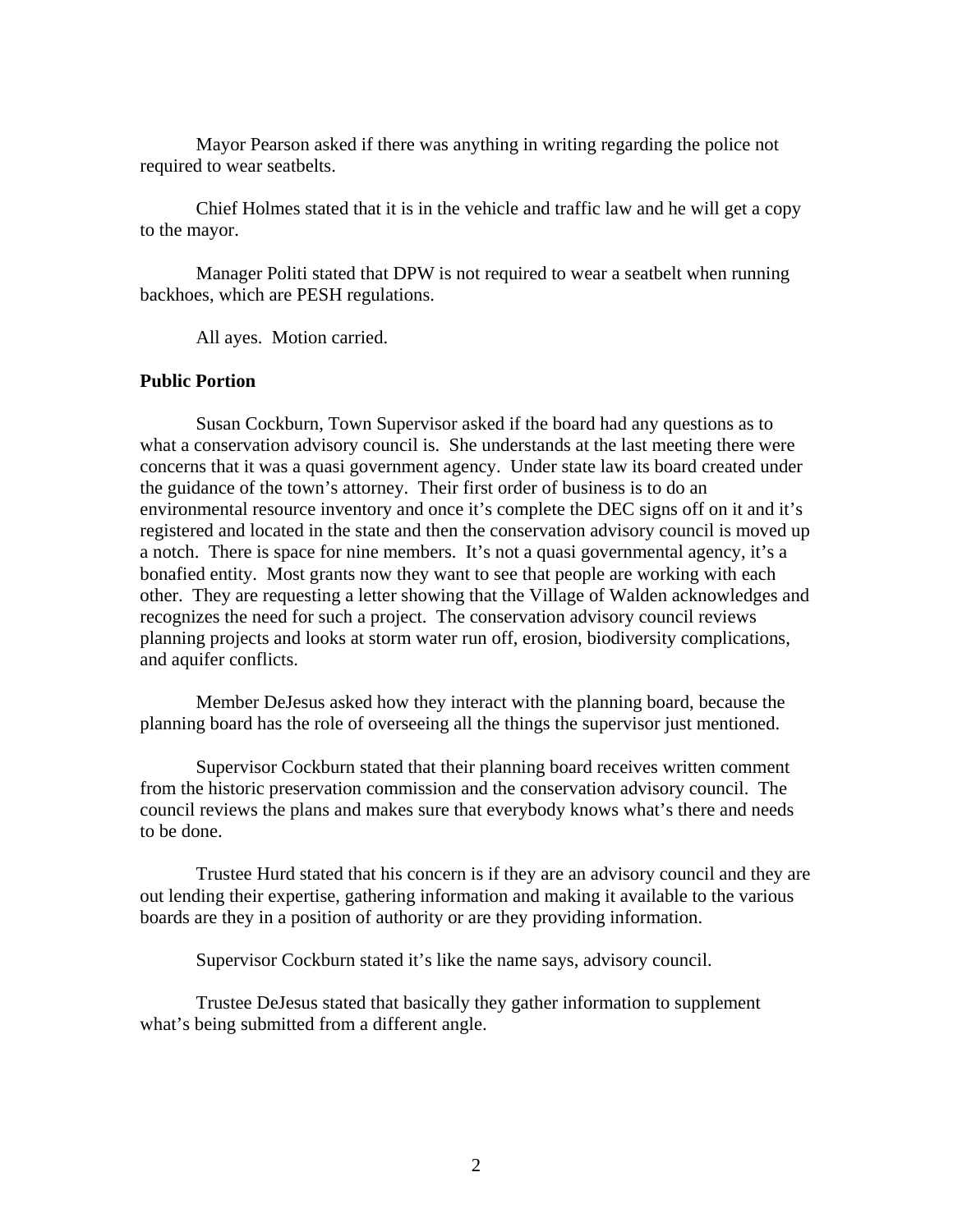Mayor Pearson asked if there was anything in writing regarding the police not required to wear seatbelts.

Chief Holmes stated that it is in the vehicle and traffic law and he will get a copy to the mayor.

Manager Politi stated that DPW is not required to wear a seatbelt when running backhoes, which are PESH regulations.

All ayes. Motion carried.

# **Public Portion**

Susan Cockburn, Town Supervisor asked if the board had any questions as to what a conservation advisory council is. She understands at the last meeting there were concerns that it was a quasi government agency. Under state law its board created under the guidance of the town's attorney. Their first order of business is to do an environmental resource inventory and once it's complete the DEC signs off on it and it's registered and located in the state and then the conservation advisory council is moved up a notch. There is space for nine members. It's not a quasi governmental agency, it's a bonafied entity. Most grants now they want to see that people are working with each other. They are requesting a letter showing that the Village of Walden acknowledges and recognizes the need for such a project. The conservation advisory council reviews planning projects and looks at storm water run off, erosion, biodiversity complications, and aquifer conflicts.

 Member DeJesus asked how they interact with the planning board, because the planning board has the role of overseeing all the things the supervisor just mentioned.

 Supervisor Cockburn stated that their planning board receives written comment from the historic preservation commission and the conservation advisory council. The council reviews the plans and makes sure that everybody knows what's there and needs to be done.

 Trustee Hurd stated that his concern is if they are an advisory council and they are out lending their expertise, gathering information and making it available to the various boards are they in a position of authority or are they providing information.

Supervisor Cockburn stated it's like the name says, advisory council.

 Trustee DeJesus stated that basically they gather information to supplement what's being submitted from a different angle.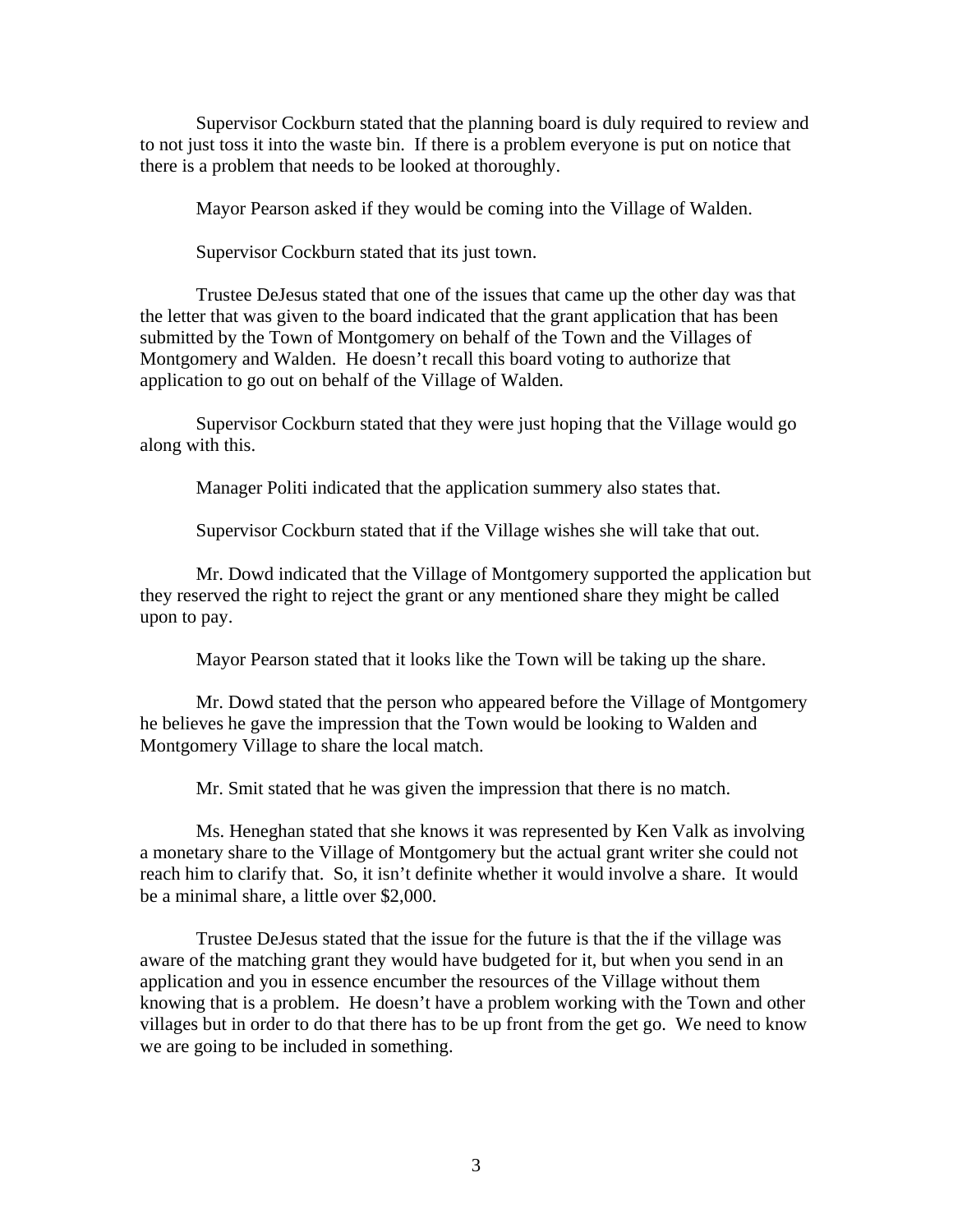Supervisor Cockburn stated that the planning board is duly required to review and to not just toss it into the waste bin. If there is a problem everyone is put on notice that there is a problem that needs to be looked at thoroughly.

Mayor Pearson asked if they would be coming into the Village of Walden.

Supervisor Cockburn stated that its just town.

 Trustee DeJesus stated that one of the issues that came up the other day was that the letter that was given to the board indicated that the grant application that has been submitted by the Town of Montgomery on behalf of the Town and the Villages of Montgomery and Walden. He doesn't recall this board voting to authorize that application to go out on behalf of the Village of Walden.

 Supervisor Cockburn stated that they were just hoping that the Village would go along with this.

Manager Politi indicated that the application summery also states that.

Supervisor Cockburn stated that if the Village wishes she will take that out.

 Mr. Dowd indicated that the Village of Montgomery supported the application but they reserved the right to reject the grant or any mentioned share they might be called upon to pay.

Mayor Pearson stated that it looks like the Town will be taking up the share.

 Mr. Dowd stated that the person who appeared before the Village of Montgomery he believes he gave the impression that the Town would be looking to Walden and Montgomery Village to share the local match.

Mr. Smit stated that he was given the impression that there is no match.

 Ms. Heneghan stated that she knows it was represented by Ken Valk as involving a monetary share to the Village of Montgomery but the actual grant writer she could not reach him to clarify that. So, it isn't definite whether it would involve a share. It would be a minimal share, a little over \$2,000.

 Trustee DeJesus stated that the issue for the future is that the if the village was aware of the matching grant they would have budgeted for it, but when you send in an application and you in essence encumber the resources of the Village without them knowing that is a problem. He doesn't have a problem working with the Town and other villages but in order to do that there has to be up front from the get go. We need to know we are going to be included in something.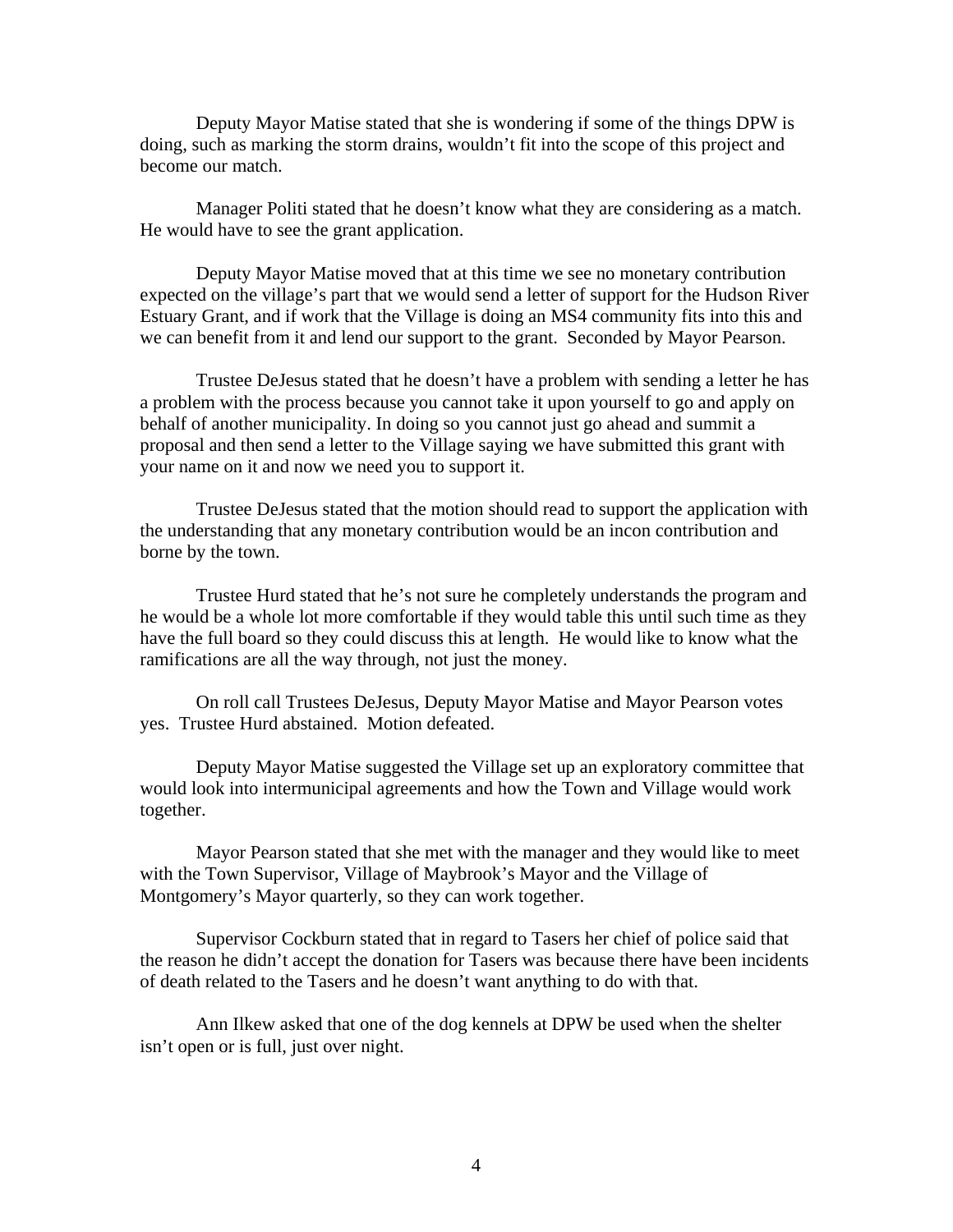Deputy Mayor Matise stated that she is wondering if some of the things DPW is doing, such as marking the storm drains, wouldn't fit into the scope of this project and become our match.

 Manager Politi stated that he doesn't know what they are considering as a match. He would have to see the grant application.

Deputy Mayor Matise moved that at this time we see no monetary contribution expected on the village's part that we would send a letter of support for the Hudson River Estuary Grant, and if work that the Village is doing an MS4 community fits into this and we can benefit from it and lend our support to the grant. Seconded by Mayor Pearson.

Trustee DeJesus stated that he doesn't have a problem with sending a letter he has a problem with the process because you cannot take it upon yourself to go and apply on behalf of another municipality. In doing so you cannot just go ahead and summit a proposal and then send a letter to the Village saying we have submitted this grant with your name on it and now we need you to support it.

 Trustee DeJesus stated that the motion should read to support the application with the understanding that any monetary contribution would be an incon contribution and borne by the town.

 Trustee Hurd stated that he's not sure he completely understands the program and he would be a whole lot more comfortable if they would table this until such time as they have the full board so they could discuss this at length. He would like to know what the ramifications are all the way through, not just the money.

On roll call Trustees DeJesus, Deputy Mayor Matise and Mayor Pearson votes yes. Trustee Hurd abstained. Motion defeated.

 Deputy Mayor Matise suggested the Village set up an exploratory committee that would look into intermunicipal agreements and how the Town and Village would work together.

 Mayor Pearson stated that she met with the manager and they would like to meet with the Town Supervisor, Village of Maybrook's Mayor and the Village of Montgomery's Mayor quarterly, so they can work together.

 Supervisor Cockburn stated that in regard to Tasers her chief of police said that the reason he didn't accept the donation for Tasers was because there have been incidents of death related to the Tasers and he doesn't want anything to do with that.

 Ann Ilkew asked that one of the dog kennels at DPW be used when the shelter isn't open or is full, just over night.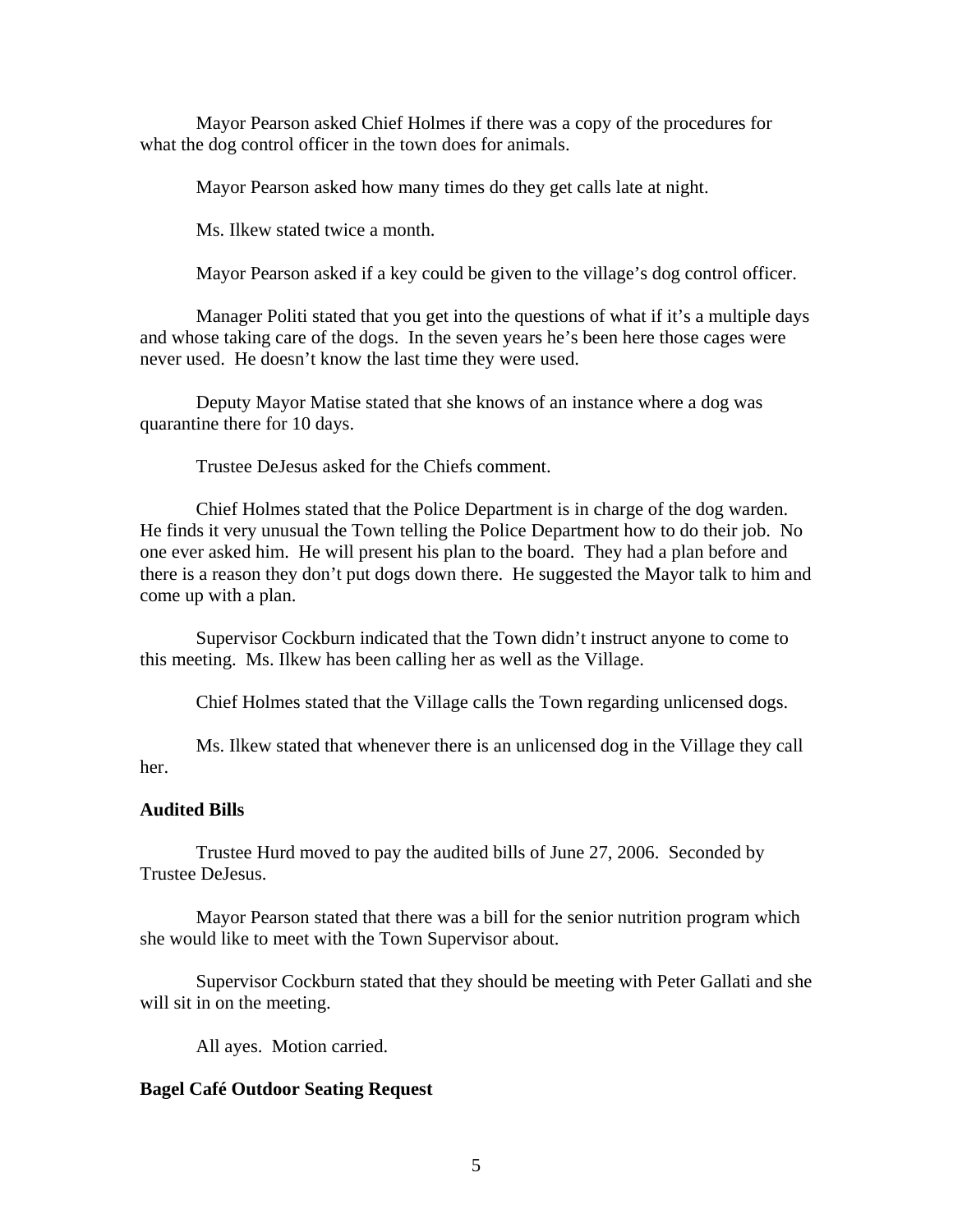Mayor Pearson asked Chief Holmes if there was a copy of the procedures for what the dog control officer in the town does for animals.

Mayor Pearson asked how many times do they get calls late at night.

Ms. Ilkew stated twice a month.

Mayor Pearson asked if a key could be given to the village's dog control officer.

 Manager Politi stated that you get into the questions of what if it's a multiple days and whose taking care of the dogs. In the seven years he's been here those cages were never used. He doesn't know the last time they were used.

 Deputy Mayor Matise stated that she knows of an instance where a dog was quarantine there for 10 days.

Trustee DeJesus asked for the Chiefs comment.

 Chief Holmes stated that the Police Department is in charge of the dog warden. He finds it very unusual the Town telling the Police Department how to do their job. No one ever asked him. He will present his plan to the board. They had a plan before and there is a reason they don't put dogs down there. He suggested the Mayor talk to him and come up with a plan.

 Supervisor Cockburn indicated that the Town didn't instruct anyone to come to this meeting. Ms. Ilkew has been calling her as well as the Village.

Chief Holmes stated that the Village calls the Town regarding unlicensed dogs.

Ms. Ilkew stated that whenever there is an unlicensed dog in the Village they call her.

#### **Audited Bills**

Trustee Hurd moved to pay the audited bills of June 27, 2006. Seconded by Trustee DeJesus.

 Mayor Pearson stated that there was a bill for the senior nutrition program which she would like to meet with the Town Supervisor about.

 Supervisor Cockburn stated that they should be meeting with Peter Gallati and she will sit in on the meeting.

All ayes. Motion carried.

## **Bagel Café Outdoor Seating Request**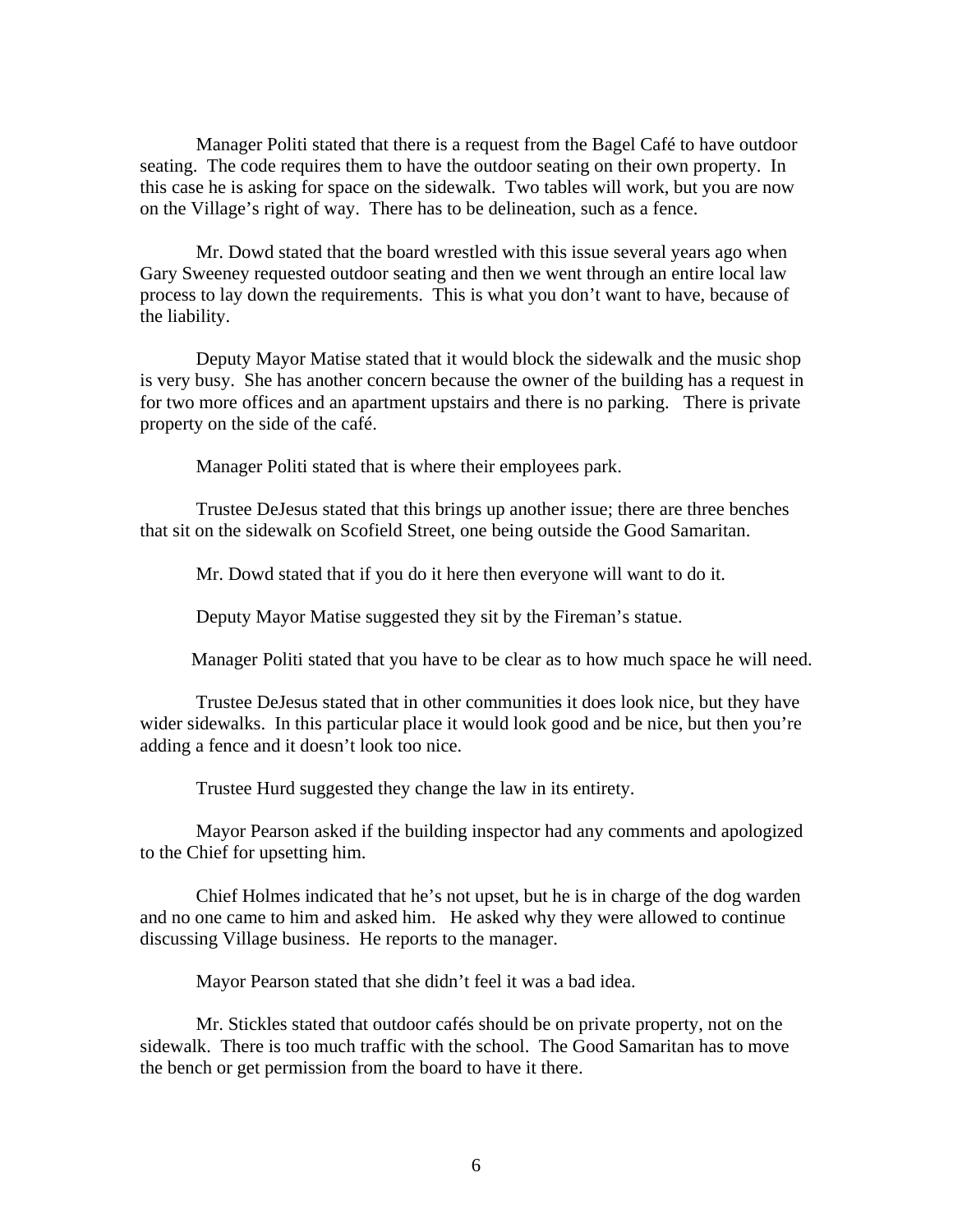Manager Politi stated that there is a request from the Bagel Café to have outdoor seating. The code requires them to have the outdoor seating on their own property. In this case he is asking for space on the sidewalk. Two tables will work, but you are now on the Village's right of way. There has to be delineation, such as a fence.

 Mr. Dowd stated that the board wrestled with this issue several years ago when Gary Sweeney requested outdoor seating and then we went through an entire local law process to lay down the requirements. This is what you don't want to have, because of the liability.

 Deputy Mayor Matise stated that it would block the sidewalk and the music shop is very busy. She has another concern because the owner of the building has a request in for two more offices and an apartment upstairs and there is no parking. There is private property on the side of the café.

Manager Politi stated that is where their employees park.

 Trustee DeJesus stated that this brings up another issue; there are three benches that sit on the sidewalk on Scofield Street, one being outside the Good Samaritan.

Mr. Dowd stated that if you do it here then everyone will want to do it.

Deputy Mayor Matise suggested they sit by the Fireman's statue.

Manager Politi stated that you have to be clear as to how much space he will need.

 Trustee DeJesus stated that in other communities it does look nice, but they have wider sidewalks. In this particular place it would look good and be nice, but then you're adding a fence and it doesn't look too nice.

Trustee Hurd suggested they change the law in its entirety.

 Mayor Pearson asked if the building inspector had any comments and apologized to the Chief for upsetting him.

 Chief Holmes indicated that he's not upset, but he is in charge of the dog warden and no one came to him and asked him. He asked why they were allowed to continue discussing Village business. He reports to the manager.

Mayor Pearson stated that she didn't feel it was a bad idea.

 Mr. Stickles stated that outdoor cafés should be on private property, not on the sidewalk. There is too much traffic with the school. The Good Samaritan has to move the bench or get permission from the board to have it there.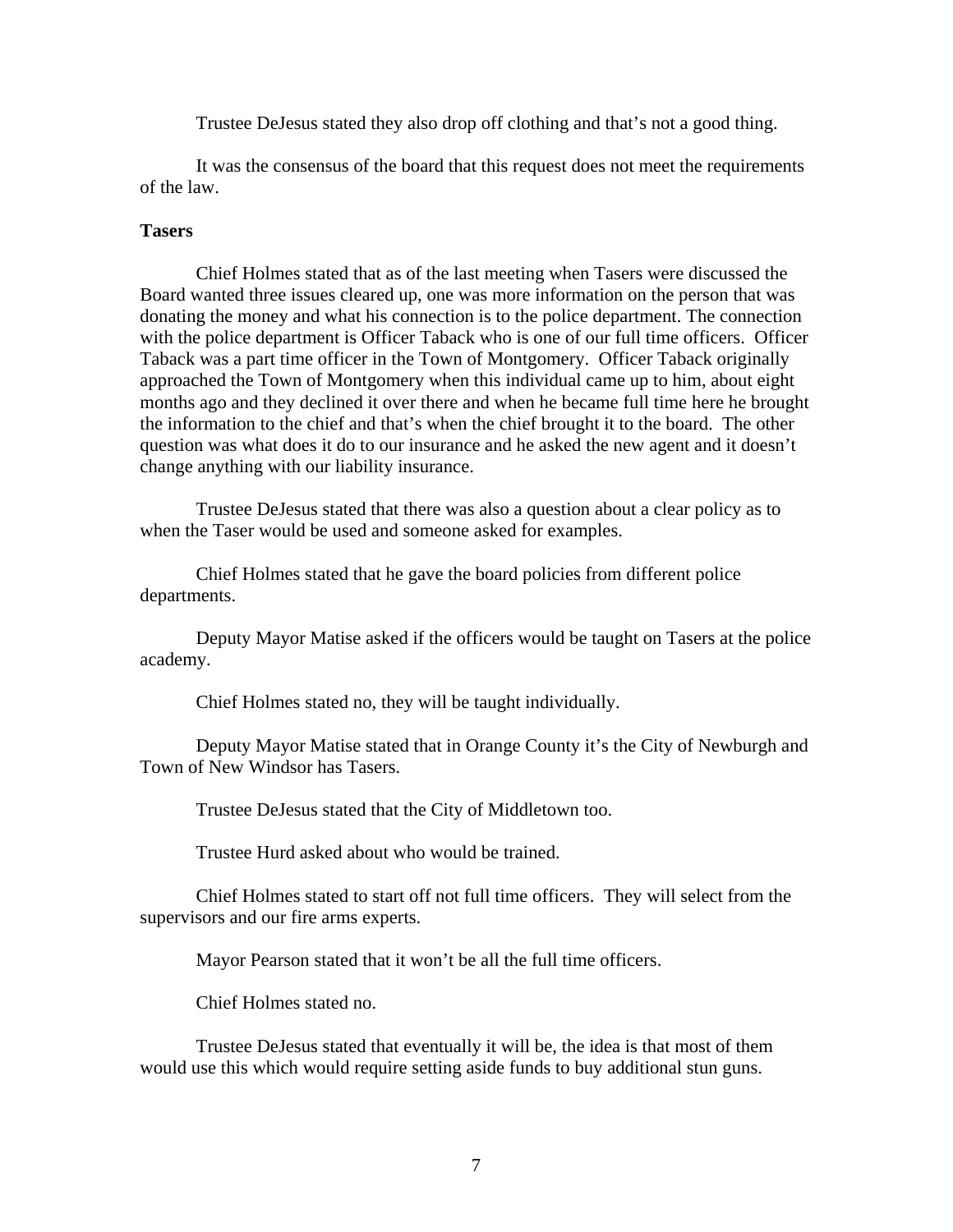Trustee DeJesus stated they also drop off clothing and that's not a good thing.

 It was the consensus of the board that this request does not meet the requirements of the law.

#### **Tasers**

Chief Holmes stated that as of the last meeting when Tasers were discussed the Board wanted three issues cleared up, one was more information on the person that was donating the money and what his connection is to the police department. The connection with the police department is Officer Taback who is one of our full time officers. Officer Taback was a part time officer in the Town of Montgomery. Officer Taback originally approached the Town of Montgomery when this individual came up to him, about eight months ago and they declined it over there and when he became full time here he brought the information to the chief and that's when the chief brought it to the board. The other question was what does it do to our insurance and he asked the new agent and it doesn't change anything with our liability insurance.

 Trustee DeJesus stated that there was also a question about a clear policy as to when the Taser would be used and someone asked for examples.

 Chief Holmes stated that he gave the board policies from different police departments.

 Deputy Mayor Matise asked if the officers would be taught on Tasers at the police academy.

Chief Holmes stated no, they will be taught individually.

 Deputy Mayor Matise stated that in Orange County it's the City of Newburgh and Town of New Windsor has Tasers.

Trustee DeJesus stated that the City of Middletown too.

Trustee Hurd asked about who would be trained.

 Chief Holmes stated to start off not full time officers. They will select from the supervisors and our fire arms experts.

Mayor Pearson stated that it won't be all the full time officers.

Chief Holmes stated no.

 Trustee DeJesus stated that eventually it will be, the idea is that most of them would use this which would require setting aside funds to buy additional stun guns.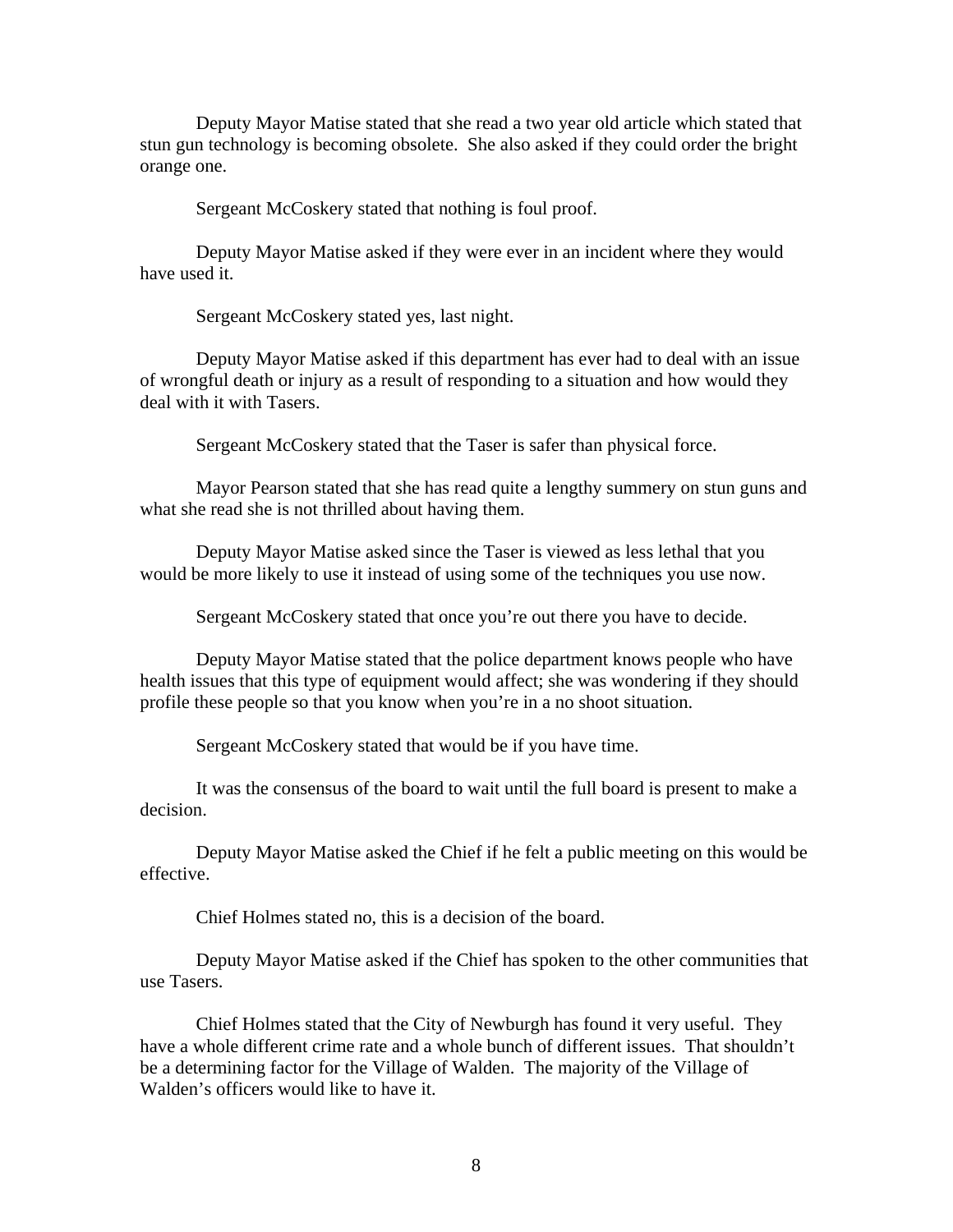Deputy Mayor Matise stated that she read a two year old article which stated that stun gun technology is becoming obsolete. She also asked if they could order the bright orange one.

Sergeant McCoskery stated that nothing is foul proof.

 Deputy Mayor Matise asked if they were ever in an incident where they would have used it.

Sergeant McCoskery stated yes, last night.

 Deputy Mayor Matise asked if this department has ever had to deal with an issue of wrongful death or injury as a result of responding to a situation and how would they deal with it with Tasers.

Sergeant McCoskery stated that the Taser is safer than physical force.

 Mayor Pearson stated that she has read quite a lengthy summery on stun guns and what she read she is not thrilled about having them.

 Deputy Mayor Matise asked since the Taser is viewed as less lethal that you would be more likely to use it instead of using some of the techniques you use now.

Sergeant McCoskery stated that once you're out there you have to decide.

 Deputy Mayor Matise stated that the police department knows people who have health issues that this type of equipment would affect; she was wondering if they should profile these people so that you know when you're in a no shoot situation.

Sergeant McCoskery stated that would be if you have time.

 It was the consensus of the board to wait until the full board is present to make a decision.

 Deputy Mayor Matise asked the Chief if he felt a public meeting on this would be effective.

Chief Holmes stated no, this is a decision of the board.

 Deputy Mayor Matise asked if the Chief has spoken to the other communities that use Tasers.

 Chief Holmes stated that the City of Newburgh has found it very useful. They have a whole different crime rate and a whole bunch of different issues. That shouldn't be a determining factor for the Village of Walden. The majority of the Village of Walden's officers would like to have it.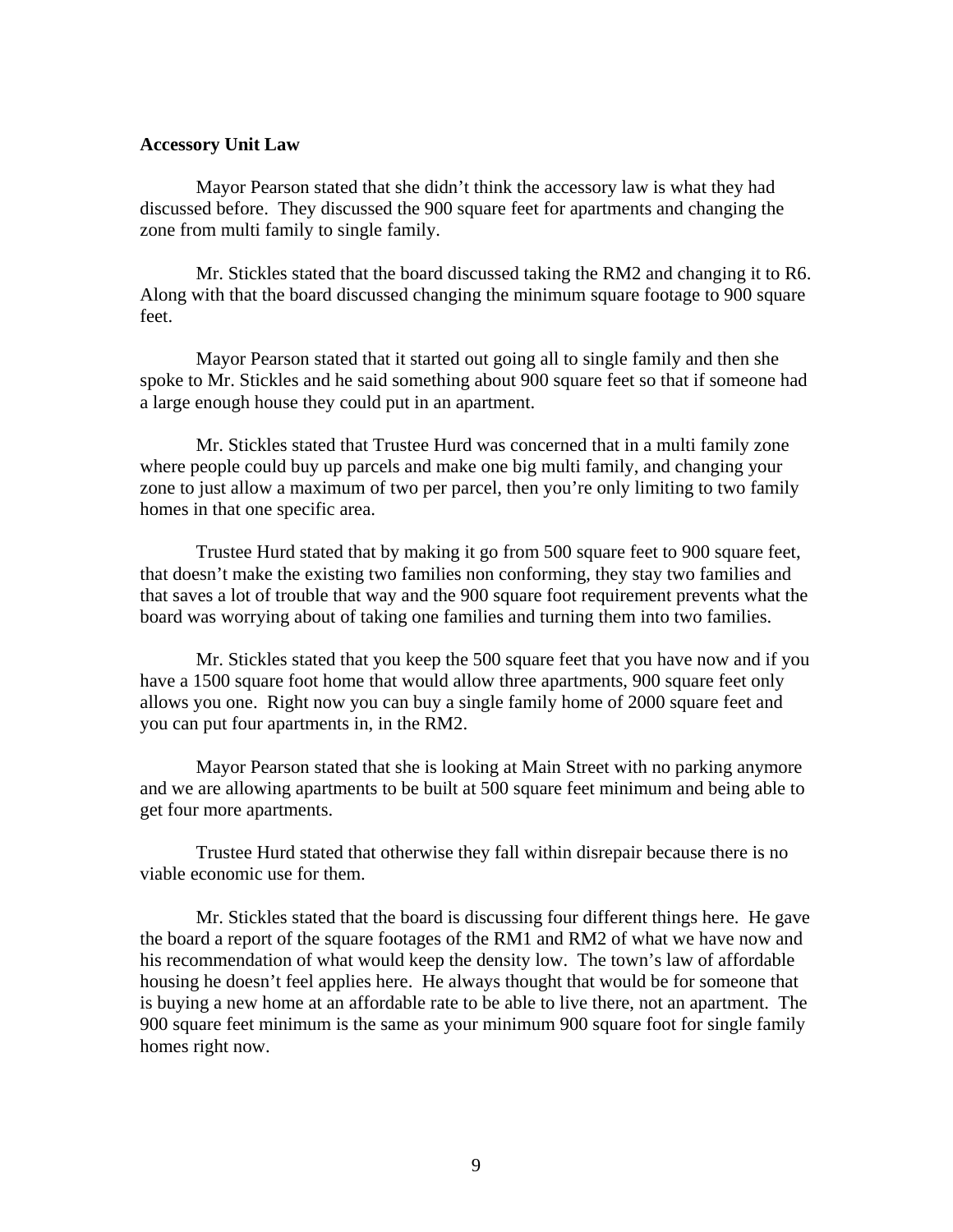#### **Accessory Unit Law**

Mayor Pearson stated that she didn't think the accessory law is what they had discussed before. They discussed the 900 square feet for apartments and changing the zone from multi family to single family.

 Mr. Stickles stated that the board discussed taking the RM2 and changing it to R6. Along with that the board discussed changing the minimum square footage to 900 square feet.

 Mayor Pearson stated that it started out going all to single family and then she spoke to Mr. Stickles and he said something about 900 square feet so that if someone had a large enough house they could put in an apartment.

 Mr. Stickles stated that Trustee Hurd was concerned that in a multi family zone where people could buy up parcels and make one big multi family, and changing your zone to just allow a maximum of two per parcel, then you're only limiting to two family homes in that one specific area.

 Trustee Hurd stated that by making it go from 500 square feet to 900 square feet, that doesn't make the existing two families non conforming, they stay two families and that saves a lot of trouble that way and the 900 square foot requirement prevents what the board was worrying about of taking one families and turning them into two families.

 Mr. Stickles stated that you keep the 500 square feet that you have now and if you have a 1500 square foot home that would allow three apartments, 900 square feet only allows you one. Right now you can buy a single family home of 2000 square feet and you can put four apartments in, in the RM2.

 Mayor Pearson stated that she is looking at Main Street with no parking anymore and we are allowing apartments to be built at 500 square feet minimum and being able to get four more apartments.

 Trustee Hurd stated that otherwise they fall within disrepair because there is no viable economic use for them.

 Mr. Stickles stated that the board is discussing four different things here. He gave the board a report of the square footages of the RM1 and RM2 of what we have now and his recommendation of what would keep the density low. The town's law of affordable housing he doesn't feel applies here. He always thought that would be for someone that is buying a new home at an affordable rate to be able to live there, not an apartment. The 900 square feet minimum is the same as your minimum 900 square foot for single family homes right now.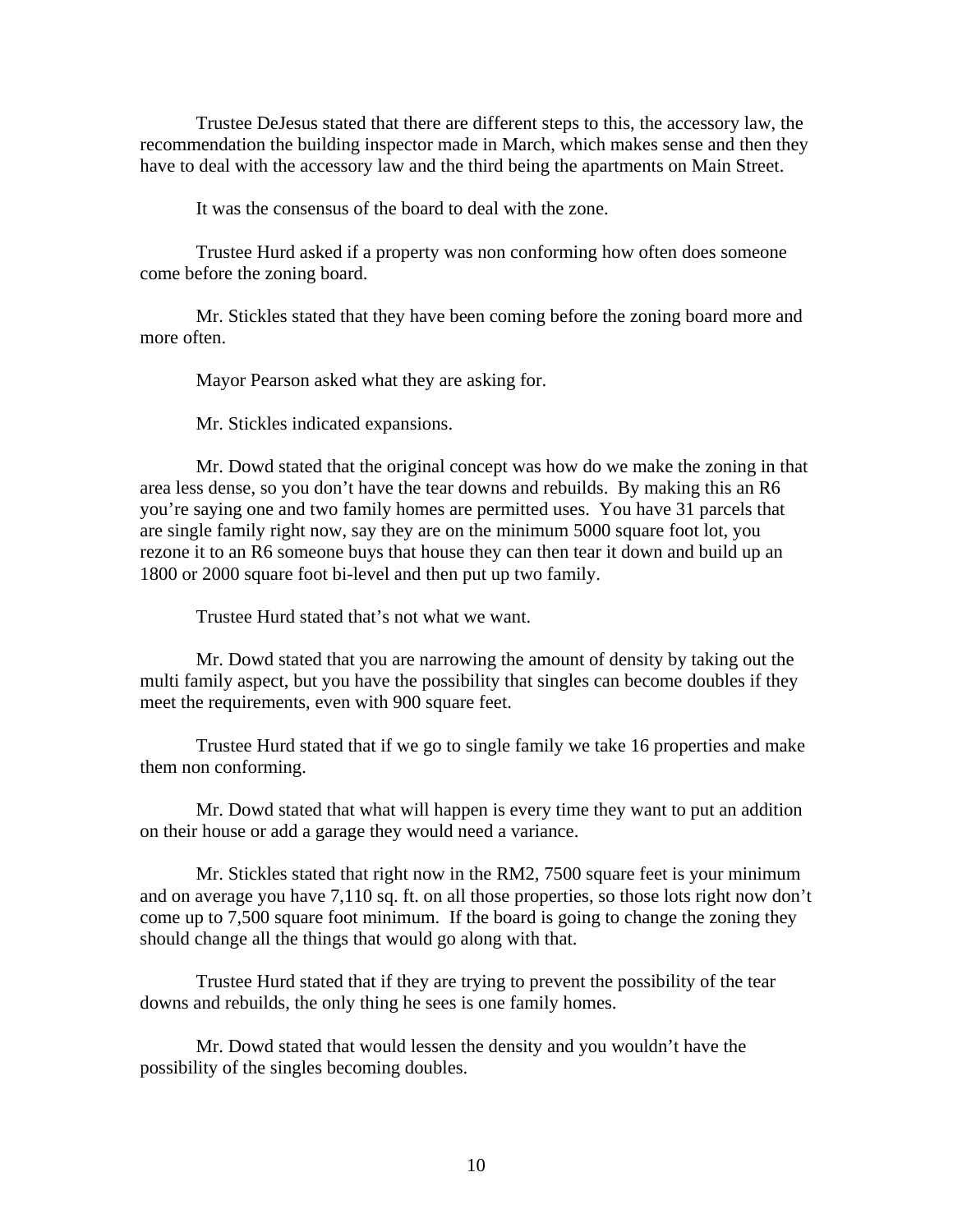Trustee DeJesus stated that there are different steps to this, the accessory law, the recommendation the building inspector made in March, which makes sense and then they have to deal with the accessory law and the third being the apartments on Main Street.

It was the consensus of the board to deal with the zone.

 Trustee Hurd asked if a property was non conforming how often does someone come before the zoning board.

 Mr. Stickles stated that they have been coming before the zoning board more and more often.

Mayor Pearson asked what they are asking for.

Mr. Stickles indicated expansions.

 Mr. Dowd stated that the original concept was how do we make the zoning in that area less dense, so you don't have the tear downs and rebuilds. By making this an R6 you're saying one and two family homes are permitted uses. You have 31 parcels that are single family right now, say they are on the minimum 5000 square foot lot, you rezone it to an R6 someone buys that house they can then tear it down and build up an 1800 or 2000 square foot bi-level and then put up two family.

Trustee Hurd stated that's not what we want.

 Mr. Dowd stated that you are narrowing the amount of density by taking out the multi family aspect, but you have the possibility that singles can become doubles if they meet the requirements, even with 900 square feet.

 Trustee Hurd stated that if we go to single family we take 16 properties and make them non conforming.

 Mr. Dowd stated that what will happen is every time they want to put an addition on their house or add a garage they would need a variance.

 Mr. Stickles stated that right now in the RM2, 7500 square feet is your minimum and on average you have 7,110 sq. ft. on all those properties, so those lots right now don't come up to 7,500 square foot minimum. If the board is going to change the zoning they should change all the things that would go along with that.

 Trustee Hurd stated that if they are trying to prevent the possibility of the tear downs and rebuilds, the only thing he sees is one family homes.

 Mr. Dowd stated that would lessen the density and you wouldn't have the possibility of the singles becoming doubles.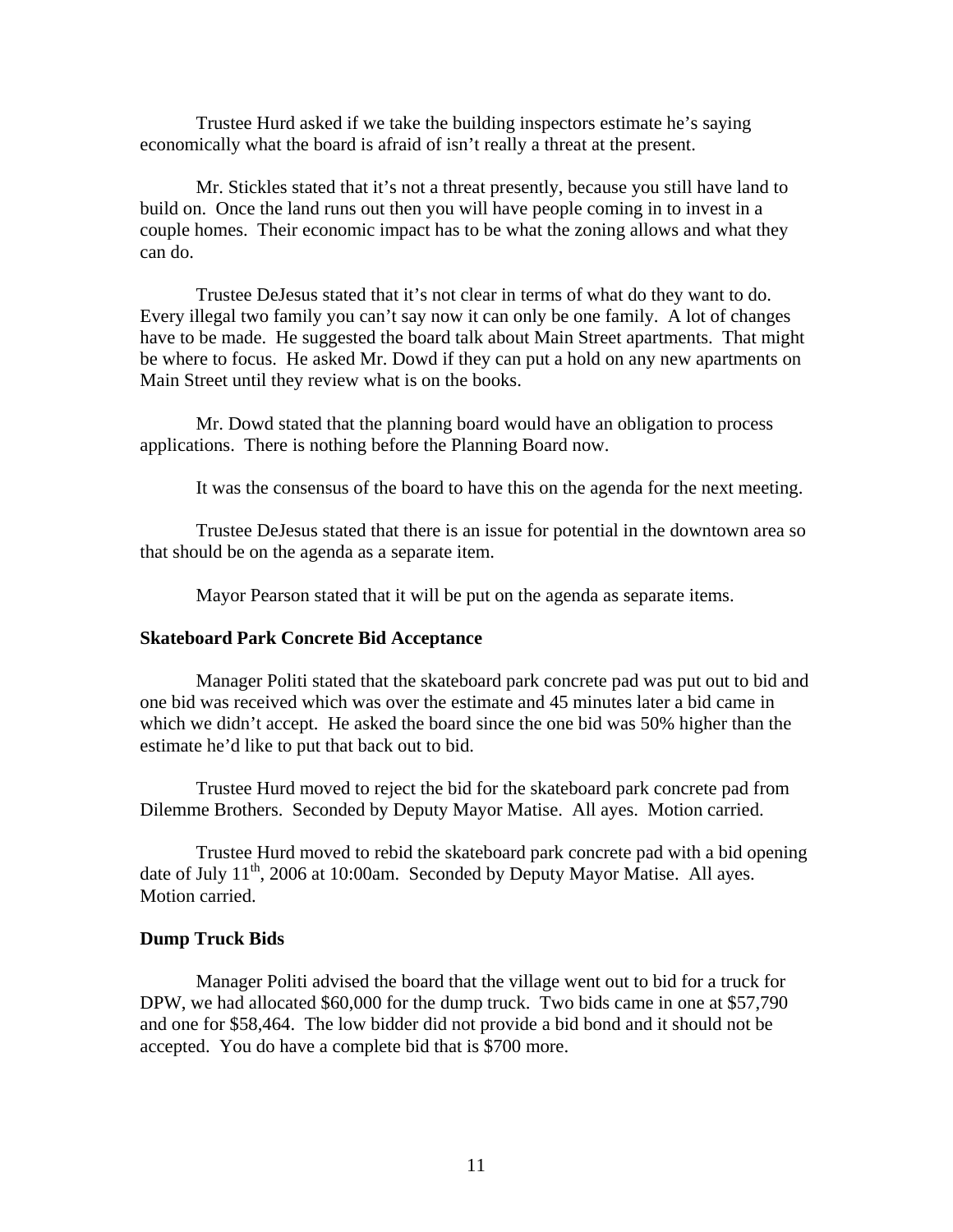Trustee Hurd asked if we take the building inspectors estimate he's saying economically what the board is afraid of isn't really a threat at the present.

 Mr. Stickles stated that it's not a threat presently, because you still have land to build on. Once the land runs out then you will have people coming in to invest in a couple homes. Their economic impact has to be what the zoning allows and what they can do.

 Trustee DeJesus stated that it's not clear in terms of what do they want to do. Every illegal two family you can't say now it can only be one family. A lot of changes have to be made. He suggested the board talk about Main Street apartments. That might be where to focus. He asked Mr. Dowd if they can put a hold on any new apartments on Main Street until they review what is on the books.

 Mr. Dowd stated that the planning board would have an obligation to process applications. There is nothing before the Planning Board now.

It was the consensus of the board to have this on the agenda for the next meeting.

 Trustee DeJesus stated that there is an issue for potential in the downtown area so that should be on the agenda as a separate item.

Mayor Pearson stated that it will be put on the agenda as separate items.

### **Skateboard Park Concrete Bid Acceptance**

Manager Politi stated that the skateboard park concrete pad was put out to bid and one bid was received which was over the estimate and 45 minutes later a bid came in which we didn't accept. He asked the board since the one bid was 50% higher than the estimate he'd like to put that back out to bid.

 Trustee Hurd moved to reject the bid for the skateboard park concrete pad from Dilemme Brothers. Seconded by Deputy Mayor Matise. All ayes. Motion carried.

 Trustee Hurd moved to rebid the skateboard park concrete pad with a bid opening date of July  $11^{th}$ , 2006 at 10:00am. Seconded by Deputy Mayor Matise. All ayes. Motion carried.

#### **Dump Truck Bids**

Manager Politi advised the board that the village went out to bid for a truck for DPW, we had allocated \$60,000 for the dump truck. Two bids came in one at \$57,790 and one for \$58,464. The low bidder did not provide a bid bond and it should not be accepted. You do have a complete bid that is \$700 more.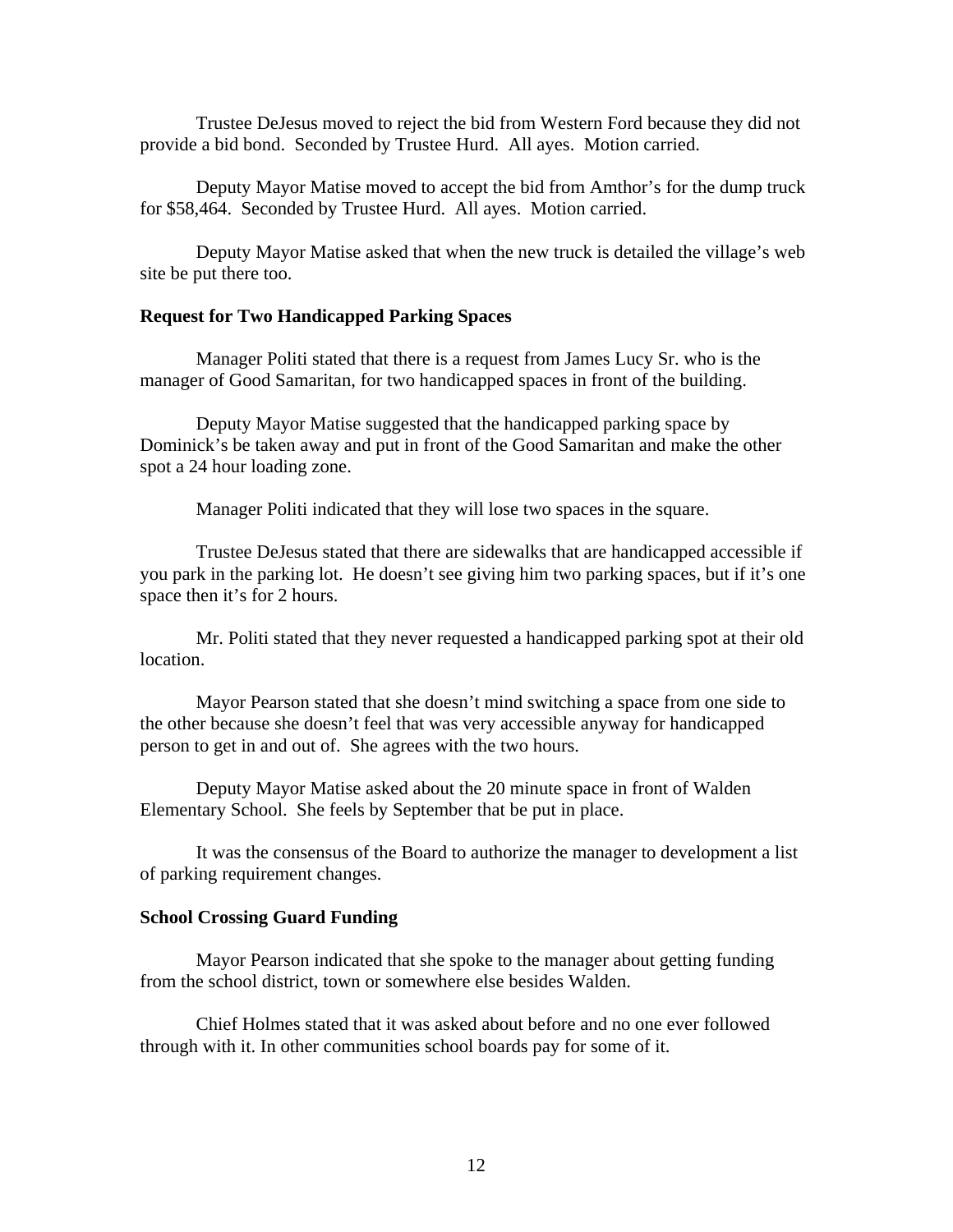Trustee DeJesus moved to reject the bid from Western Ford because they did not provide a bid bond. Seconded by Trustee Hurd. All ayes. Motion carried.

 Deputy Mayor Matise moved to accept the bid from Amthor's for the dump truck for \$58,464. Seconded by Trustee Hurd. All ayes. Motion carried.

Deputy Mayor Matise asked that when the new truck is detailed the village's web site be put there too.

## **Request for Two Handicapped Parking Spaces**

Manager Politi stated that there is a request from James Lucy Sr. who is the manager of Good Samaritan, for two handicapped spaces in front of the building.

 Deputy Mayor Matise suggested that the handicapped parking space by Dominick's be taken away and put in front of the Good Samaritan and make the other spot a 24 hour loading zone.

Manager Politi indicated that they will lose two spaces in the square.

 Trustee DeJesus stated that there are sidewalks that are handicapped accessible if you park in the parking lot. He doesn't see giving him two parking spaces, but if it's one space then it's for 2 hours.

 Mr. Politi stated that they never requested a handicapped parking spot at their old location.

 Mayor Pearson stated that she doesn't mind switching a space from one side to the other because she doesn't feel that was very accessible anyway for handicapped person to get in and out of. She agrees with the two hours.

 Deputy Mayor Matise asked about the 20 minute space in front of Walden Elementary School. She feels by September that be put in place.

 It was the consensus of the Board to authorize the manager to development a list of parking requirement changes.

## **School Crossing Guard Funding**

Mayor Pearson indicated that she spoke to the manager about getting funding from the school district, town or somewhere else besides Walden.

 Chief Holmes stated that it was asked about before and no one ever followed through with it. In other communities school boards pay for some of it.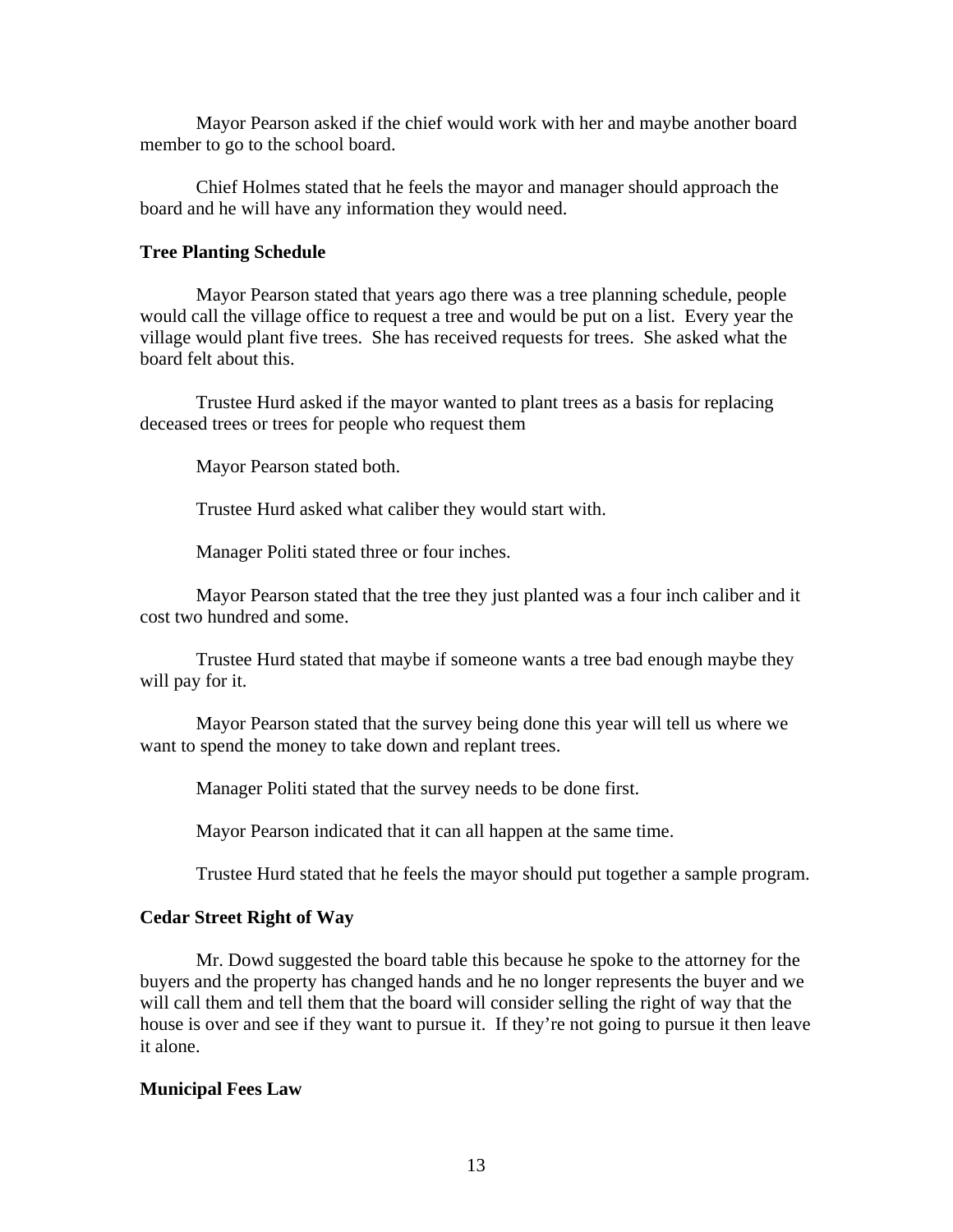Mayor Pearson asked if the chief would work with her and maybe another board member to go to the school board.

 Chief Holmes stated that he feels the mayor and manager should approach the board and he will have any information they would need.

#### **Tree Planting Schedule**

Mayor Pearson stated that years ago there was a tree planning schedule, people would call the village office to request a tree and would be put on a list. Every year the village would plant five trees. She has received requests for trees. She asked what the board felt about this.

 Trustee Hurd asked if the mayor wanted to plant trees as a basis for replacing deceased trees or trees for people who request them

Mayor Pearson stated both.

Trustee Hurd asked what caliber they would start with.

Manager Politi stated three or four inches.

 Mayor Pearson stated that the tree they just planted was a four inch caliber and it cost two hundred and some.

 Trustee Hurd stated that maybe if someone wants a tree bad enough maybe they will pay for it.

 Mayor Pearson stated that the survey being done this year will tell us where we want to spend the money to take down and replant trees.

Manager Politi stated that the survey needs to be done first.

Mayor Pearson indicated that it can all happen at the same time.

Trustee Hurd stated that he feels the mayor should put together a sample program.

#### **Cedar Street Right of Way**

Mr. Dowd suggested the board table this because he spoke to the attorney for the buyers and the property has changed hands and he no longer represents the buyer and we will call them and tell them that the board will consider selling the right of way that the house is over and see if they want to pursue it. If they're not going to pursue it then leave it alone.

#### **Municipal Fees Law**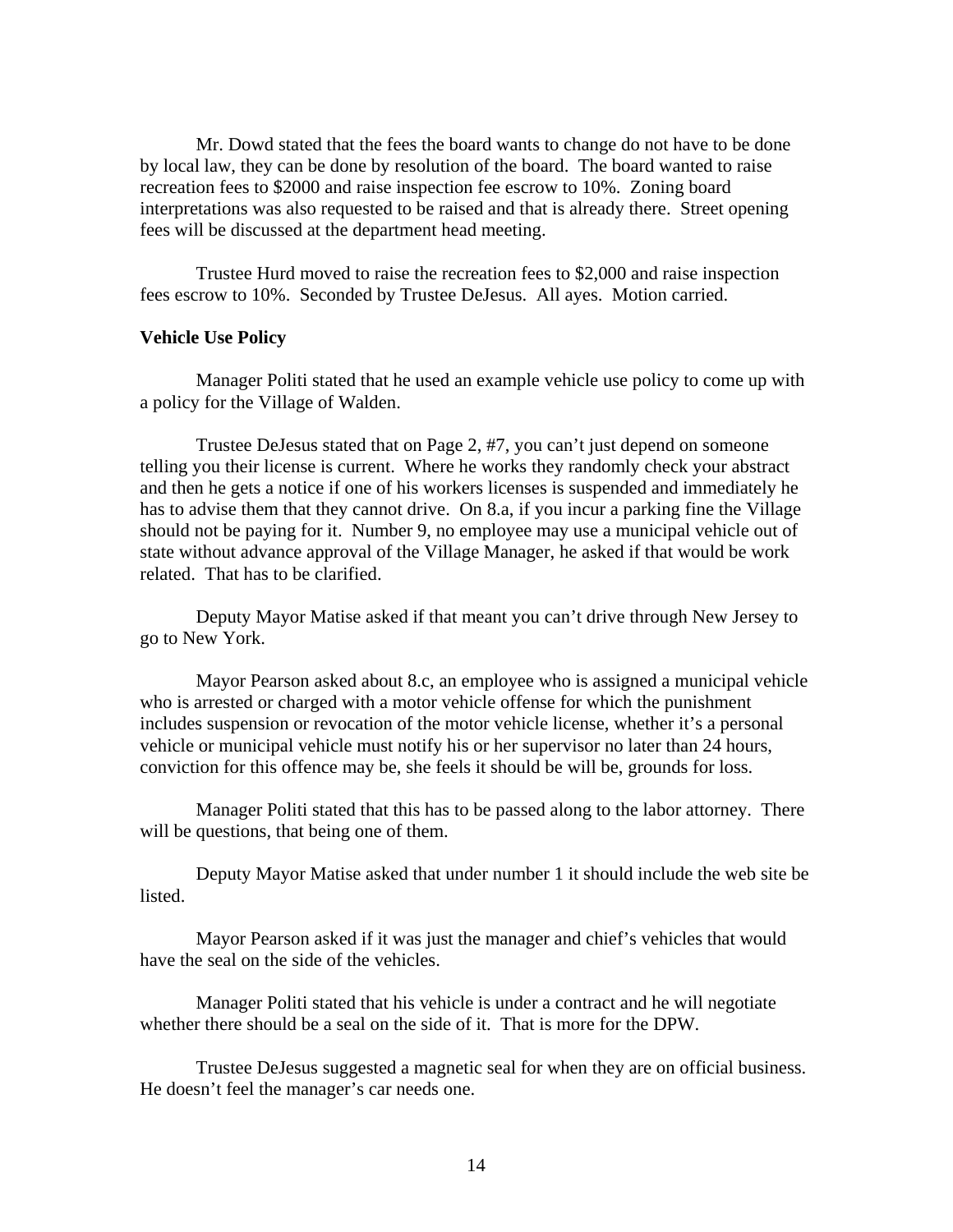Mr. Dowd stated that the fees the board wants to change do not have to be done by local law, they can be done by resolution of the board. The board wanted to raise recreation fees to \$2000 and raise inspection fee escrow to 10%. Zoning board interpretations was also requested to be raised and that is already there. Street opening fees will be discussed at the department head meeting.

 Trustee Hurd moved to raise the recreation fees to \$2,000 and raise inspection fees escrow to 10%. Seconded by Trustee DeJesus. All ayes. Motion carried.

#### **Vehicle Use Policy**

Manager Politi stated that he used an example vehicle use policy to come up with a policy for the Village of Walden.

 Trustee DeJesus stated that on Page 2, #7, you can't just depend on someone telling you their license is current. Where he works they randomly check your abstract and then he gets a notice if one of his workers licenses is suspended and immediately he has to advise them that they cannot drive. On 8.a, if you incur a parking fine the Village should not be paying for it. Number 9, no employee may use a municipal vehicle out of state without advance approval of the Village Manager, he asked if that would be work related. That has to be clarified.

 Deputy Mayor Matise asked if that meant you can't drive through New Jersey to go to New York.

 Mayor Pearson asked about 8.c, an employee who is assigned a municipal vehicle who is arrested or charged with a motor vehicle offense for which the punishment includes suspension or revocation of the motor vehicle license, whether it's a personal vehicle or municipal vehicle must notify his or her supervisor no later than 24 hours, conviction for this offence may be, she feels it should be will be, grounds for loss.

 Manager Politi stated that this has to be passed along to the labor attorney. There will be questions, that being one of them.

 Deputy Mayor Matise asked that under number 1 it should include the web site be listed.

 Mayor Pearson asked if it was just the manager and chief's vehicles that would have the seal on the side of the vehicles.

 Manager Politi stated that his vehicle is under a contract and he will negotiate whether there should be a seal on the side of it. That is more for the DPW.

 Trustee DeJesus suggested a magnetic seal for when they are on official business. He doesn't feel the manager's car needs one.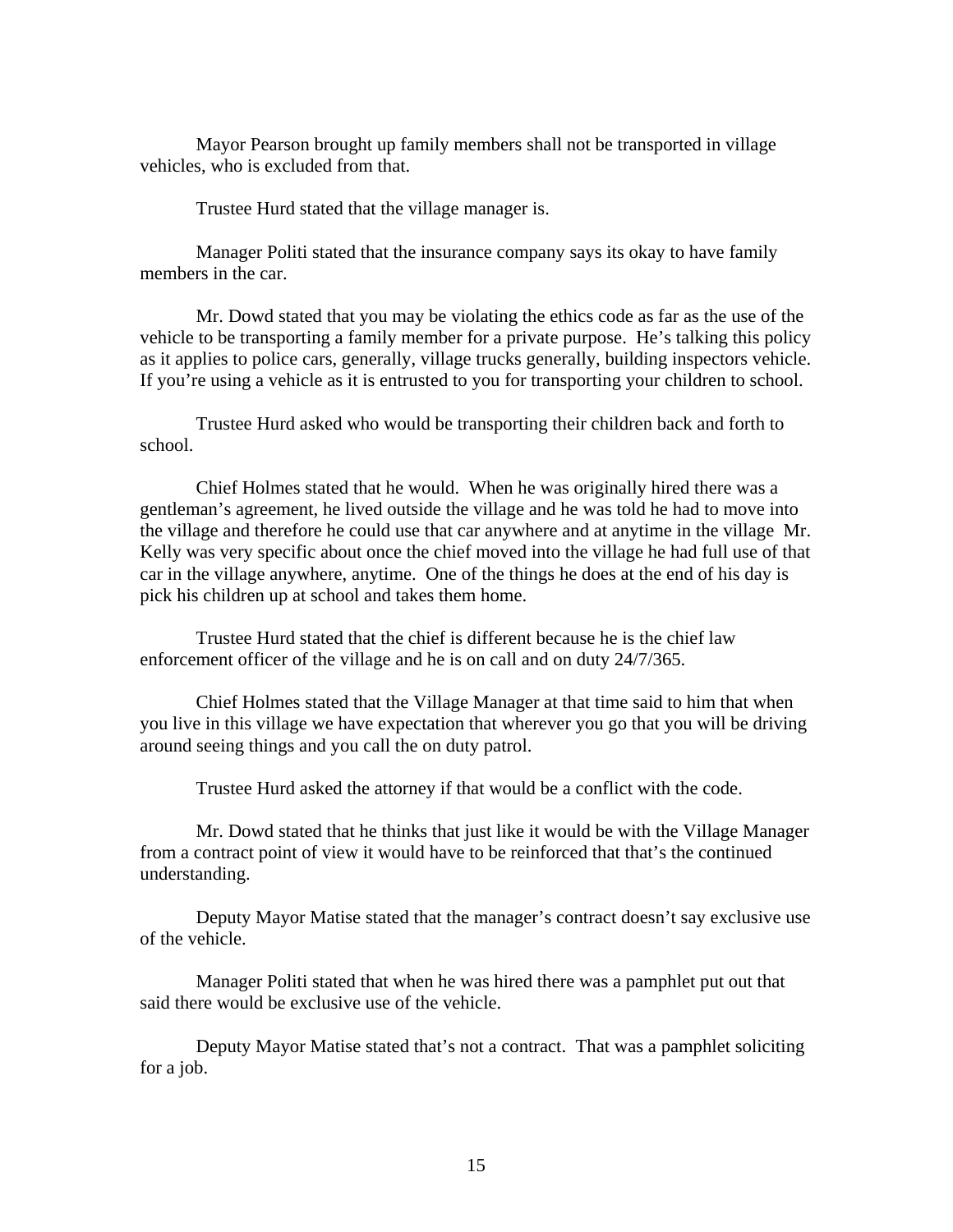Mayor Pearson brought up family members shall not be transported in village vehicles, who is excluded from that.

Trustee Hurd stated that the village manager is.

 Manager Politi stated that the insurance company says its okay to have family members in the car.

 Mr. Dowd stated that you may be violating the ethics code as far as the use of the vehicle to be transporting a family member for a private purpose. He's talking this policy as it applies to police cars, generally, village trucks generally, building inspectors vehicle. If you're using a vehicle as it is entrusted to you for transporting your children to school.

 Trustee Hurd asked who would be transporting their children back and forth to school.

 Chief Holmes stated that he would. When he was originally hired there was a gentleman's agreement, he lived outside the village and he was told he had to move into the village and therefore he could use that car anywhere and at anytime in the village Mr. Kelly was very specific about once the chief moved into the village he had full use of that car in the village anywhere, anytime. One of the things he does at the end of his day is pick his children up at school and takes them home.

 Trustee Hurd stated that the chief is different because he is the chief law enforcement officer of the village and he is on call and on duty 24/7/365.

 Chief Holmes stated that the Village Manager at that time said to him that when you live in this village we have expectation that wherever you go that you will be driving around seeing things and you call the on duty patrol.

Trustee Hurd asked the attorney if that would be a conflict with the code.

 Mr. Dowd stated that he thinks that just like it would be with the Village Manager from a contract point of view it would have to be reinforced that that's the continued understanding.

 Deputy Mayor Matise stated that the manager's contract doesn't say exclusive use of the vehicle.

 Manager Politi stated that when he was hired there was a pamphlet put out that said there would be exclusive use of the vehicle.

 Deputy Mayor Matise stated that's not a contract. That was a pamphlet soliciting for a job.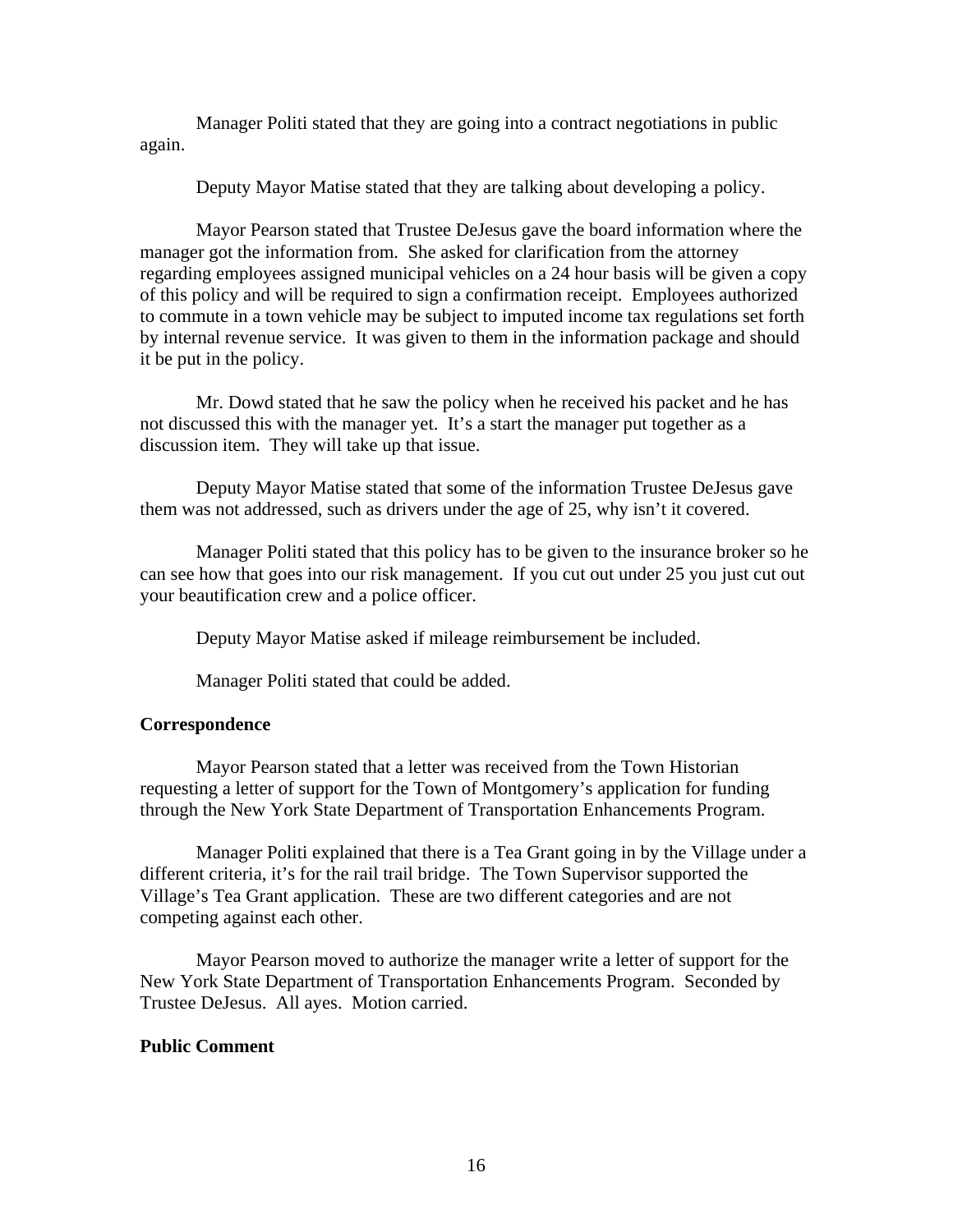Manager Politi stated that they are going into a contract negotiations in public again.

Deputy Mayor Matise stated that they are talking about developing a policy.

 Mayor Pearson stated that Trustee DeJesus gave the board information where the manager got the information from. She asked for clarification from the attorney regarding employees assigned municipal vehicles on a 24 hour basis will be given a copy of this policy and will be required to sign a confirmation receipt. Employees authorized to commute in a town vehicle may be subject to imputed income tax regulations set forth by internal revenue service. It was given to them in the information package and should it be put in the policy.

 Mr. Dowd stated that he saw the policy when he received his packet and he has not discussed this with the manager yet. It's a start the manager put together as a discussion item. They will take up that issue.

 Deputy Mayor Matise stated that some of the information Trustee DeJesus gave them was not addressed, such as drivers under the age of 25, why isn't it covered.

 Manager Politi stated that this policy has to be given to the insurance broker so he can see how that goes into our risk management. If you cut out under 25 you just cut out your beautification crew and a police officer.

Deputy Mayor Matise asked if mileage reimbursement be included.

Manager Politi stated that could be added.

## **Correspondence**

Mayor Pearson stated that a letter was received from the Town Historian requesting a letter of support for the Town of Montgomery's application for funding through the New York State Department of Transportation Enhancements Program.

 Manager Politi explained that there is a Tea Grant going in by the Village under a different criteria, it's for the rail trail bridge. The Town Supervisor supported the Village's Tea Grant application. These are two different categories and are not competing against each other.

 Mayor Pearson moved to authorize the manager write a letter of support for the New York State Department of Transportation Enhancements Program. Seconded by Trustee DeJesus. All ayes. Motion carried.

## **Public Comment**